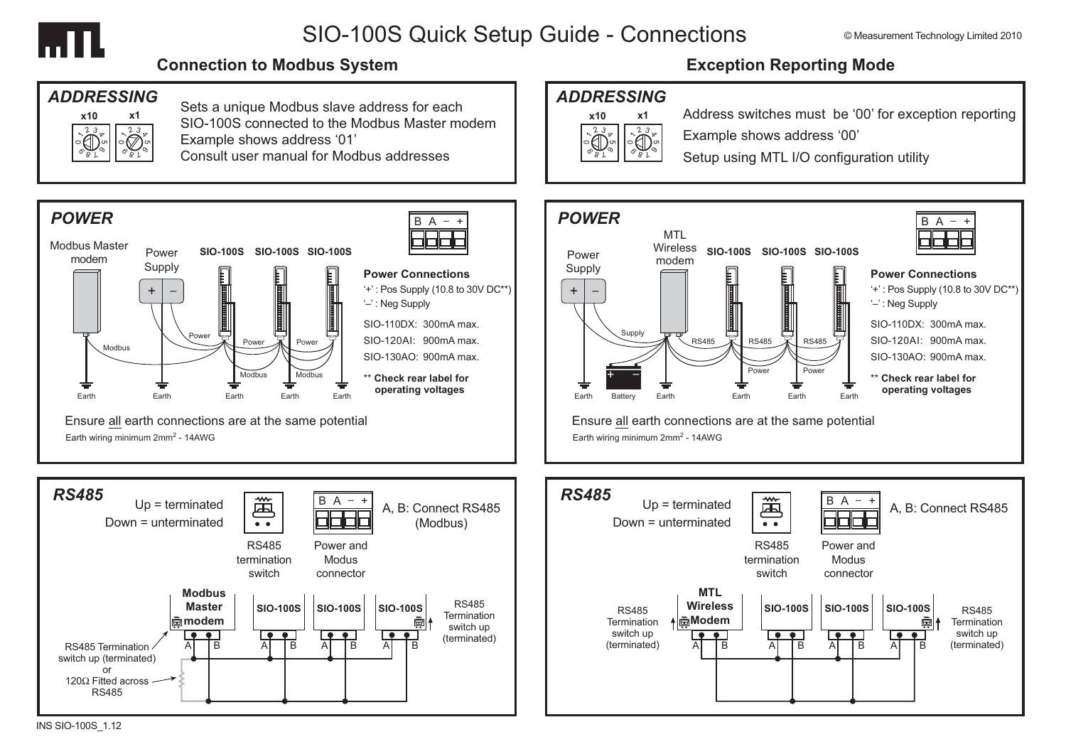

## SIO-100S Quick Setup Guide - Connections

#### **Connection to Modbus System**



Sets a unique Modbus slave address for each SIO-100S connected to the Modbus Master modem Example shows address '01' Consult user manual for Modbus addresses



## **Exception Reporting Mode**

## **ADDRESSING**



Address switches must be '00' for exception reporting Example shows address '00'

Setup using MTL I/O configuration utility



#### **Power Connections**

- '+': Pos Supply (10.8 to 30V DC\*\*)
- '-': Neg Supply
- SIO-110DX: 300mA max.
- SIO-120AI: 900mA max.
- $SIO-130AO: 900mA$  max
- \*\* Check rear label for operating voltages

Ensure all earth connections are at the same potential Earth wiring minimum 2mm<sup>2</sup> - 14AWG